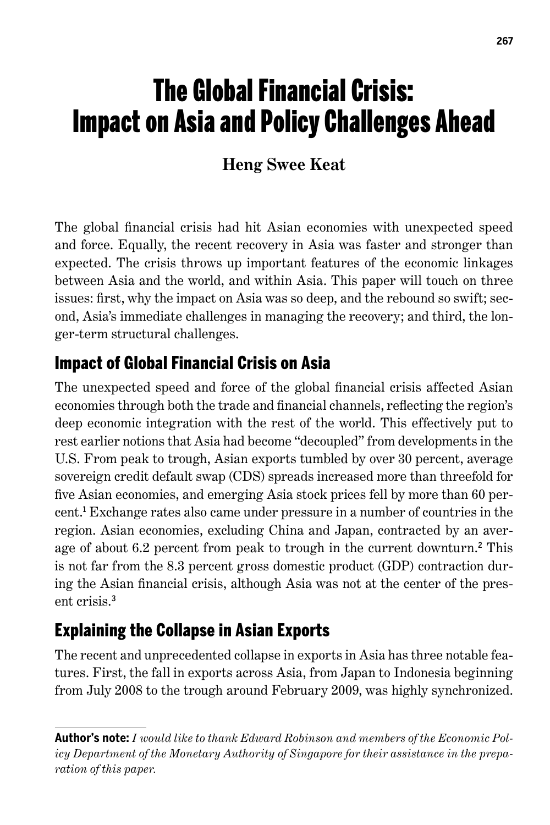# The Global Financial Crisis: Impact on Asia and Policy Challenges Ahead

# **Heng Swee Keat**

The global financial crisis had hit Asian economies with unexpected speed and force. Equally, the recent recovery in Asia was faster and stronger than expected. The crisis throws up important features of the economic linkages between Asia and the world, and within Asia. This paper will touch on three issues: first, why the impact on Asia was so deep, and the rebound so swift; second, Asia's immediate challenges in managing the recovery; and third, the longer-term structural challenges.

# Impact of Global Financial Crisis on Asia

The unexpected speed and force of the global financial crisis affected Asian economies through both the trade and financial channels, reflecting the region's deep economic integration with the rest of the world. This effectively put to rest earlier notions that Asia had become "decoupled" from developments in the U.S. From peak to trough, Asian exports tumbled by over 30 percent, average sovereign credit default swap (CDS) spreads increased more than threefold for five Asian economies, and emerging Asia stock prices fell by more than 60 percent. 1 Exchange rates also came under pressure in a number of countries in the region. Asian economies, excluding China and Japan, contracted by an average of about 6.2 percent from peak to trough in the current downturn.<sup>2</sup> This is not far from the 8.3 percent gross domestic product (GDP) contraction during the Asian financial crisis, although Asia was not at the center of the present crisis. 3

# Explaining the Collapse in Asian Exports

The recent and unprecedented collapse in exports in Asia has three notable features. First, the fall in exports across Asia, from Japan to Indonesia beginning from July 2008 to the trough around February 2009, was highly synchronized.

**Author's note:** *I would like to thank Edward Robinson and members of the Economic Policy Department of the Monetary Authority of Singapore for their assistance in the preparation of this paper.*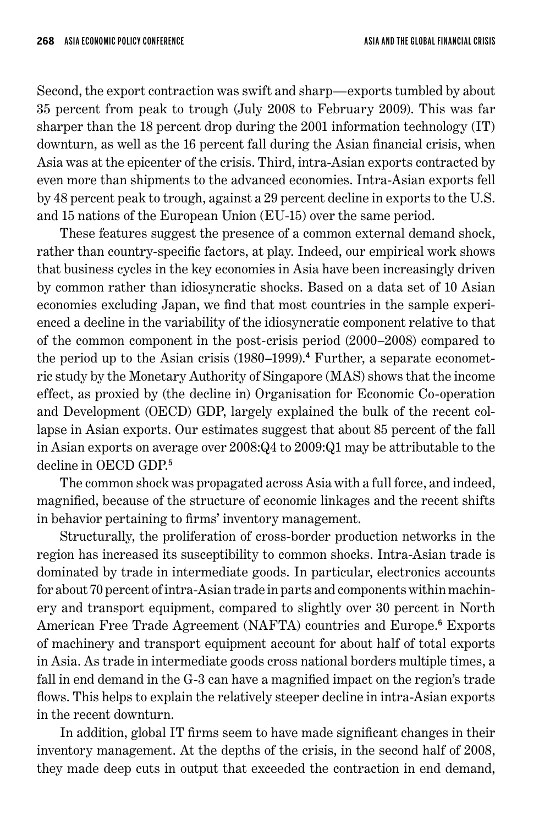Second, the export contraction was swift and sharp—exports tumbled by about 35 percent from peak to trough (July 2008 to February 2009). This was far sharper than the 18 percent drop during the 2001 information technology (IT) downturn, as well as the 16 percent fall during the Asian financial crisis, when Asia was at the epicenter of the crisis. Third, intra-Asian exports contracted by even more than shipments to the advanced economies. Intra-Asian exports fell by 48 percent peak to trough, against a 29 percent decline in exports to the U.S. and 15 nations of the European Union (EU-15) over the same period.

These features suggest the presence of a common external demand shock, rather than country-specific factors, at play. Indeed, our empirical work shows that business cycles in the key economies in Asia have been increasingly driven by common rather than idiosyncratic shocks. Based on a data set of 10 Asian economies excluding Japan, we find that most countries in the sample experienced a decline in the variability of the idiosyncratic component relative to that of the common component in the post-crisis period (2000–2008) compared to the period up to the Asian crisis (1980–1999). 4 Further, a separate econometric study by the Monetary Authority of Singapore (MAS) shows that the income effect, as proxied by (the decline in) Organisation for Economic Co-operation and Development (OECD) GDP, largely explained the bulk of the recent collapse in Asian exports. Our estimates suggest that about 85 percent of the fall in Asian exports on average over 2008:Q4 to 2009:Q1 may be attributable to the decline in OECD GDP. 5

The common shock was propagated across Asia with a full force, and indeed, magnified, because of the structure of economic linkages and the recent shifts in behavior pertaining to firms' inventory management.

Structurally, the proliferation of cross-border production networks in the region has increased its susceptibility to common shocks. Intra-Asian trade is dominated by trade in intermediate goods. In particular, electronics accounts for about 70 percent of intra-Asian trade in parts and components within machinery and transport equipment, compared to slightly over 30 percent in North American Free Trade Agreement (NAFTA) countries and Europe. 6 Exports of machinery and transport equipment account for about half of total exports in Asia. As trade in intermediate goods cross national borders multiple times, a fall in end demand in the G-3 can have a magnified impact on the region's trade flows. This helps to explain the relatively steeper decline in intra-Asian exports in the recent downturn.

In addition, global IT firms seem to have made significant changes in their inventory management. At the depths of the crisis, in the second half of 2008, they made deep cuts in output that exceeded the contraction in end demand,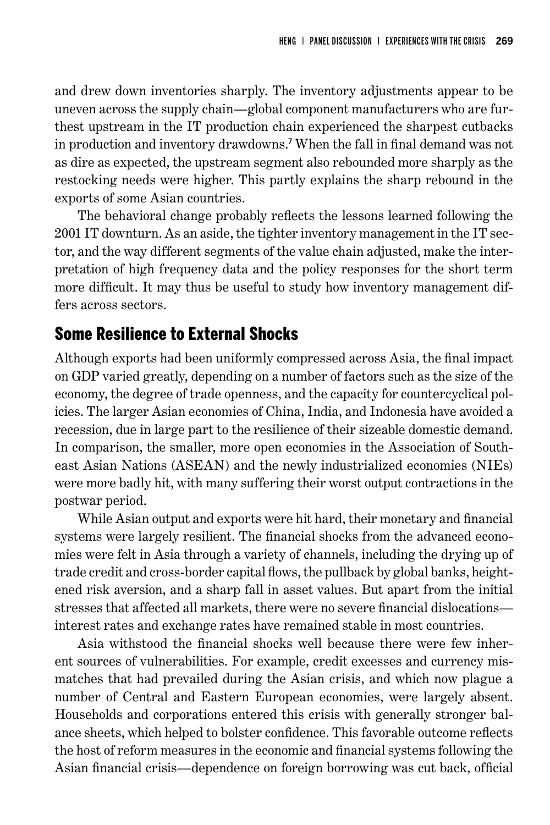and drew down inventories sharply. The inventory adjustments appear to be uneven across the supply chain—global component manufacturers who are furthest upstream in the IT production chain experienced the sharpest cutbacks in production and inventory drawdowns. 7 When the fall in final demand was not as dire as expected, the upstream segment also rebounded more sharply as the restocking needs were higher. This partly explains the sharp rebound in the exports of some Asian countries.

The behavioral change probably reflects the lessons learned following the 2001 IT downturn. As an aside, the tighter inventory management in the IT sector, and the way different segments of the value chain adjusted, make the interpretation of high frequency data and the policy responses for the short term more difficult. It may thus be useful to study how inventory management differs across sectors.

#### Some Resilience to External Shocks

Although exports had been uniformly compressed across Asia, the final impact on GDP varied greatly, depending on a number of factors such as the size of the economy, the degree of trade openness, and the capacity for countercyclical policies. The larger Asian economies of China, India, and Indonesia have avoided a recession, due in large part to the resilience of their sizeable domestic demand. In comparison, the smaller, more open economies in the Association of Southeast Asian Nations (ASEAN) and the newly industrialized economies (NIEs) were more badly hit, with many suffering their worst output contractions in the postwar period.

While Asian output and exports were hit hard, their monetary and financial systems were largely resilient. The financial shocks from the advanced economies were felt in Asia through a variety of channels, including the drying up of trade credit and cross-border capital flows, the pullback by global banks, heightened risk aversion, and a sharp fall in asset values. But apart from the initial stresses that affected all markets, there were no severe financial dislocations interest rates and exchange rates have remained stable in most countries.

Asia withstood the financial shocks well because there were few inherent sources of vulnerabilities. For example, credit excesses and currency mismatches that had prevailed during the Asian crisis, and which now plague a number of Central and Eastern European economies, were largely absent. Households and corporations entered this crisis with generally stronger balance sheets, which helped to bolster confidence. This favorable outcome reflects the host of reform measures in the economic and financial systems following the Asian financial crisis—dependence on foreign borrowing was cut back, official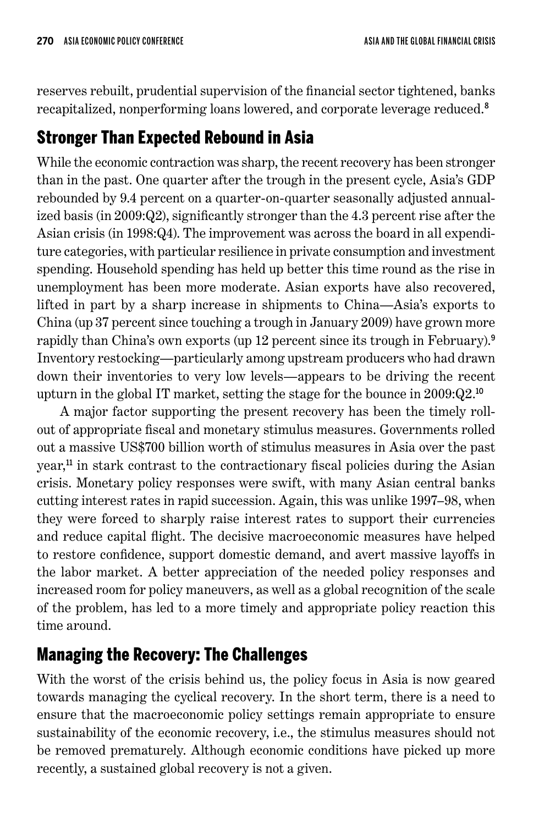reserves rebuilt, prudential supervision of the financial sector tightened, banks recapitalized, nonperforming loans lowered, and corporate leverage reduced. 8

## Stronger Than Expected Rebound in Asia

While the economic contraction was sharp, the recent recovery has been stronger than in the past. One quarter after the trough in the present cycle, Asia's GDP rebounded by 9.4 percent on a quarter-on-quarter seasonally adjusted annualized basis (in 2009:Q2), significantly stronger than the 4.3 percent rise after the Asian crisis (in 1998:Q4). The improvement was across the board in all expenditure categories, with particular resilience in private consumption and investment spending. Household spending has held up better this time round as the rise in unemployment has been more moderate. Asian exports have also recovered, lifted in part by a sharp increase in shipments to China—Asia's exports to China (up 37 percent since touching a trough in January 2009) have grown more rapidly than China's own exports (up 12 percent since its trough in February). 9 Inventory restocking—particularly among upstream producers who had drawn down their inventories to very low levels—appears to be driving the recent upturn in the global IT market, setting the stage for the bounce in 2009:Q2. 10

A major factor supporting the present recovery has been the timely rollout of appropriate fiscal and monetary stimulus measures. Governments rolled out a massive US\$700 billion worth of stimulus measures in Asia over the past year,<sup>11</sup> in stark contrast to the contractionary fiscal policies during the Asian crisis. Monetary policy responses were swift, with many Asian central banks cutting interest rates in rapid succession. Again, this was unlike 1997–98, when they were forced to sharply raise interest rates to support their currencies and reduce capital flight. The decisive macroeconomic measures have helped to restore confidence, support domestic demand, and avert massive layoffs in the labor market. A better appreciation of the needed policy responses and increased room for policy maneuvers, as well as a global recognition of the scale of the problem, has led to a more timely and appropriate policy reaction this time around.

## Managing the Recovery: The Challenges

With the worst of the crisis behind us, the policy focus in Asia is now geared towards managing the cyclical recovery. In the short term, there is a need to ensure that the macroeconomic policy settings remain appropriate to ensure sustainability of the economic recovery, i.e., the stimulus measures should not be removed prematurely. Although economic conditions have picked up more recently, a sustained global recovery is not a given.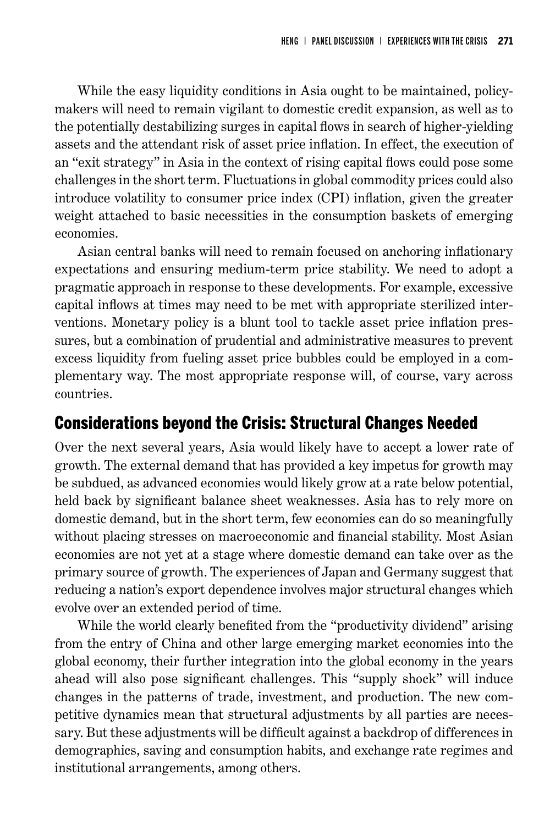While the easy liquidity conditions in Asia ought to be maintained, policymakers will need to remain vigilant to domestic credit expansion, as well as to the potentially destabilizing surges in capital flows in search of higher-yielding assets and the attendant risk of asset price inflation. In effect, the execution of an "exit strategy" in Asia in the context of rising capital flows could pose some challenges in the short term. Fluctuations in global commodity prices could also introduce volatility to consumer price index (CPI) inflation, given the greater weight attached to basic necessities in the consumption baskets of emerging economies.

Asian central banks will need to remain focused on anchoring inflationary expectations and ensuring medium-term price stability. We need to adopt a pragmatic approach in response to these developments. For example, excessive capital inflows at times may need to be met with appropriate sterilized interventions. Monetary policy is a blunt tool to tackle asset price inflation pressures, but a combination of prudential and administrative measures to prevent excess liquidity from fueling asset price bubbles could be employed in a complementary way. The most appropriate response will, of course, vary across countries.

## Considerations beyond the Crisis: Structural Changes Needed

Over the next several years, Asia would likely have to accept a lower rate of growth. The external demand that has provided a key impetus for growth may be subdued, as advanced economies would likely grow at a rate below potential, held back by significant balance sheet weaknesses. Asia has to rely more on domestic demand, but in the short term, few economies can do so meaningfully without placing stresses on macroeconomic and financial stability. Most Asian economies are not yet at a stage where domestic demand can take over as the primary source of growth. The experiences of Japan and Germany suggest that reducing a nation's export dependence involves major structural changes which evolve over an extended period of time.

While the world clearly benefited from the "productivity dividend" arising from the entry of China and other large emerging market economies into the global economy, their further integration into the global economy in the years ahead will also pose significant challenges. This "supply shock" will induce changes in the patterns of trade, investment, and production. The new competitive dynamics mean that structural adjustments by all parties are necessary. But these adjustments will be difficult against a backdrop of differences in demographics, saving and consumption habits, and exchange rate regimes and institutional arrangements, among others.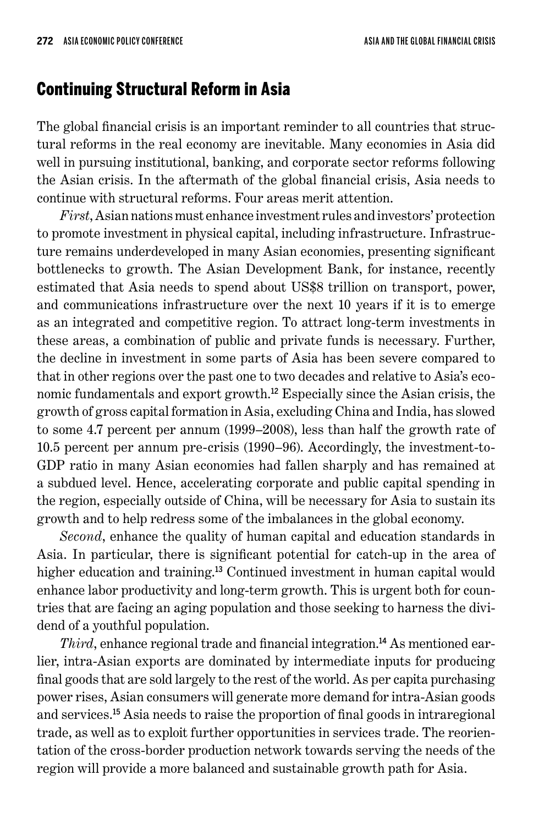## Continuing Structural Reform in Asia

The global financial crisis is an important reminder to all countries that structural reforms in the real economy are inevitable. Many economies in Asia did well in pursuing institutional, banking, and corporate sector reforms following the Asian crisis. In the aftermath of the global financial crisis, Asia needs to continue with structural reforms. Four areas merit attention.

*First*, Asian nations must enhance investment rules and investors' protection to promote investment in physical capital, including infrastructure. Infrastructure remains underdeveloped in many Asian economies, presenting significant bottlenecks to growth. The Asian Development Bank, for instance, recently estimated that Asia needs to spend about US\$8 trillion on transport, power, and communications infrastructure over the next 10 years if it is to emerge as an integrated and competitive region. To attract long-term investments in these areas, a combination of public and private funds is necessary. Further, the decline in investment in some parts of Asia has been severe compared to that in other regions over the past one to two decades and relative to Asia's economic fundamentals and export growth. <sup>12</sup> Especially since the Asian crisis, the growth of gross capital formation in Asia, excluding China and India, has slowed to some 4.7 percent per annum (1999–2008), less than half the growth rate of 10.5 percent per annum pre-crisis (1990–96). Accordingly, the investment-to-GDP ratio in many Asian economies had fallen sharply and has remained at a subdued level. Hence, accelerating corporate and public capital spending in the region, especially outside of China, will be necessary for Asia to sustain its growth and to help redress some of the imbalances in the global economy.

*Second*, enhance the quality of human capital and education standards in Asia. In particular, there is significant potential for catch-up in the area of higher education and training.<sup>13</sup> Continued investment in human capital would enhance labor productivity and long-term growth. This is urgent both for countries that are facing an aging population and those seeking to harness the dividend of a youthful population.

*Third*, enhance regional trade and financial integration. 14 As mentioned earlier, intra-Asian exports are dominated by intermediate inputs for producing final goods that are sold largely to the rest of the world. As per capita purchasing power rises, Asian consumers will generate more demand for intra-Asian goods and services. <sup>15</sup> Asia needs to raise the proportion of final goods in intraregional trade, as well as to exploit further opportunities in services trade. The reorientation of the cross-border production network towards serving the needs of the region will provide a more balanced and sustainable growth path for Asia.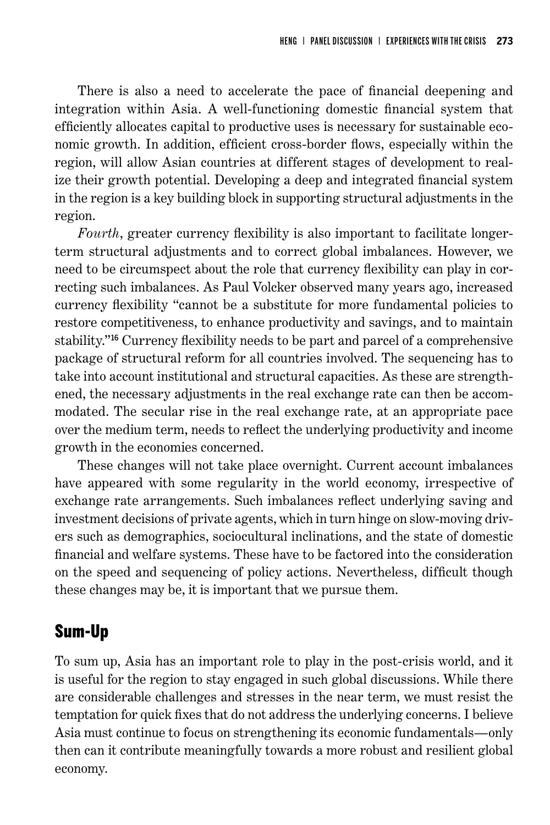There is also a need to accelerate the pace of financial deepening and integration within Asia. A well-functioning domestic financial system that efficiently allocates capital to productive uses is necessary for sustainable economic growth. In addition, efficient cross-border flows, especially within the region, will allow Asian countries at different stages of development to realize their growth potential. Developing a deep and integrated financial system in the region is a key building block in supporting structural adjustments in the region.

*Fourth*, greater currency flexibility is also important to facilitate longerterm structural adjustments and to correct global imbalances. However, we need to be circumspect about the role that currency flexibility can play in correcting such imbalances. As Paul Volcker observed many years ago, increased currency flexibility "cannot be a substitute for more fundamental policies to restore competitiveness, to enhance productivity and savings, and to maintain stability."<sup>16</sup> Currency flexibility needs to be part and parcel of a comprehensive package of structural reform for all countries involved. The sequencing has to take into account institutional and structural capacities. As these are strengthened, the necessary adjustments in the real exchange rate can then be accommodated. The secular rise in the real exchange rate, at an appropriate pace over the medium term, needs to reflect the underlying productivity and income growth in the economies concerned.

These changes will not take place overnight. Current account imbalances have appeared with some regularity in the world economy, irrespective of exchange rate arrangements. Such imbalances reflect underlying saving and investment decisions of private agents, which in turn hinge on slow-moving drivers such as demographics, sociocultural inclinations, and the state of domestic financial and welfare systems. These have to be factored into the consideration on the speed and sequencing of policy actions. Nevertheless, difficult though these changes may be, it is important that we pursue them.

## Sum-Up

To sum up, Asia has an important role to play in the post-crisis world, and it is useful for the region to stay engaged in such global discussions. While there are considerable challenges and stresses in the near term, we must resist the temptation for quick fixes that do not address the underlying concerns. I believe Asia must continue to focus on strengthening its economic fundamentals—only then can it contribute meaningfully towards a more robust and resilient global economy.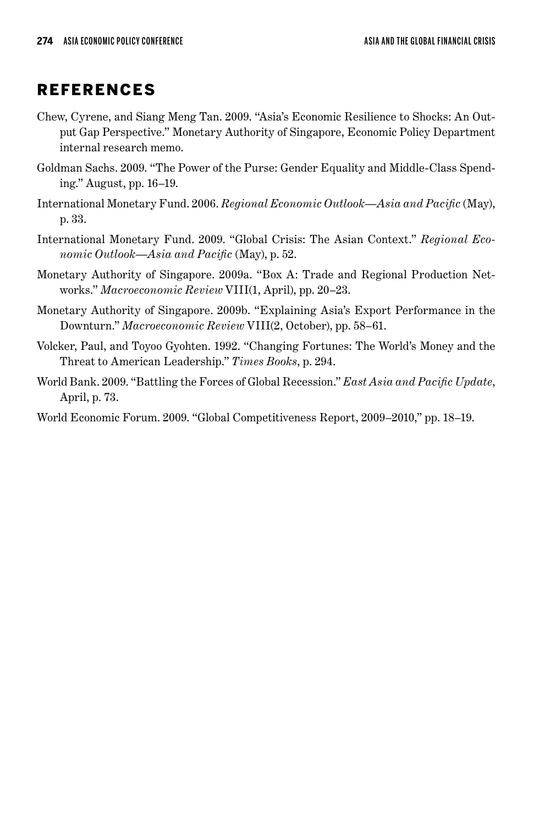#### **REFERENCES**

- Chew, Cyrene, and Siang Meng Tan. 2009. "Asia's Economic Resilience to Shocks: An Output Gap Perspective." Monetary Authority of Singapore, Economic Policy Department internal research memo.
- Goldman Sachs. 2009. "The Power of the Purse: Gender Equality and Middle-Class Spending." August, pp. 16–19.
- International Monetary Fund. 2006. *Regional Economic Outlook—Asia and Pacific* (May), p. 33.
- International Monetary Fund. 2009. "Global Crisis: The Asian Context." *Regional Economic Outlook—Asia and Pacific* (May), p. 52.
- Monetary Authority of Singapore. 2009a. "Box A: Trade and Regional Production Networks." *Macroeconomic Review* VIII(1, April), pp. 20–23.
- Monetary Authority of Singapore. 2009b. "Explaining Asia's Export Performance in the Downturn." *Macroeconomic Review* VIII(2, October), pp. 58–61.
- Volcker, Paul, and Toyoo Gyohten. 1992. "Changing Fortunes: The World's Money and the Threat to American Leadership." *Times Books*, p. 294.
- World Bank. 2009. "Battling the Forces of Global Recession." *East Asia and Pacific Update*, April, p. 73.

World Economic Forum. 2009. "Global Competitiveness Report, 2009–2010," pp. 18–19.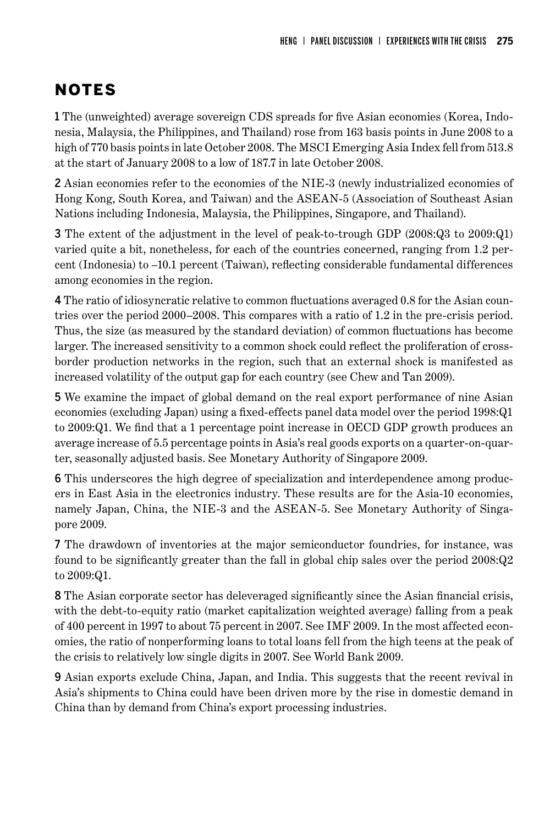# NOTES

1 The (unweighted) average sovereign CDS spreads for five Asian economies (Korea, Indonesia, Malaysia, the Philippines, and Thailand) rose from 163 basis points in June 2008 to a high of 770 basis points in late October 2008. The MSCI Emerging Asia Index fell from 513.8 at the start of January 2008 to a low of 187.7 in late October 2008.

2 Asian economies refer to the economies of the NIE-3 (newly industrialized economies of Hong Kong, South Korea, and Taiwan) and the ASEAN-5 (Association of Southeast Asian Nations including Indonesia, Malaysia, the Philippines, Singapore, and Thailand).

3 The extent of the adjustment in the level of peak-to-trough GDP (2008:Q3 to 2009:Q1) varied quite a bit, nonetheless, for each of the countries concerned, ranging from 1.2 percent (Indonesia) to –10.1 percent (Taiwan), reflecting considerable fundamental differences among economies in the region.

4 The ratio of idiosyncratic relative to common fluctuations averaged 0.8 for the Asian countries over the period 2000–2008. This compares with a ratio of 1.2 in the pre-crisis period. Thus, the size (as measured by the standard deviation) of common fluctuations has become larger. The increased sensitivity to a common shock could reflect the proliferation of crossborder production networks in the region, such that an external shock is manifested as increased volatility of the output gap for each country (see Chew and Tan 2009).

5 We examine the impact of global demand on the real export performance of nine Asian economies (excluding Japan) using a fixed-effects panel data model over the period 1998:Q1 to 2009:Q1. We find that a 1 percentage point increase in OECD GDP growth produces an average increase of 5.5 percentage points in Asia's real goods exports on a quarter-on-quarter, seasonally adjusted basis. See Monetary Authority of Singapore 2009.

6 This underscores the high degree of specialization and interdependence among producers in East Asia in the electronics industry. These results are for the Asia-10 economies, namely Japan, China, the NIE-3 and the ASEAN-5. See Monetary Authority of Singapore 2009.

7 The drawdown of inventories at the major semiconductor foundries, for instance, was found to be significantly greater than the fall in global chip sales over the period 2008:Q2 to 2009:Q1.

8 The Asian corporate sector has deleveraged significantly since the Asian financial crisis, with the debt-to-equity ratio (market capitalization weighted average) falling from a peak of 400 percent in 1997 to about 75 percent in 2007. See IMF 2009. In the most affected economies, the ratio of nonperforming loans to total loans fell from the high teens at the peak of the crisis to relatively low single digits in 2007. See World Bank 2009.

9 Asian exports exclude China, Japan, and India. This suggests that the recent revival in Asia's shipments to China could have been driven more by the rise in domestic demand in China than by demand from China's export processing industries.